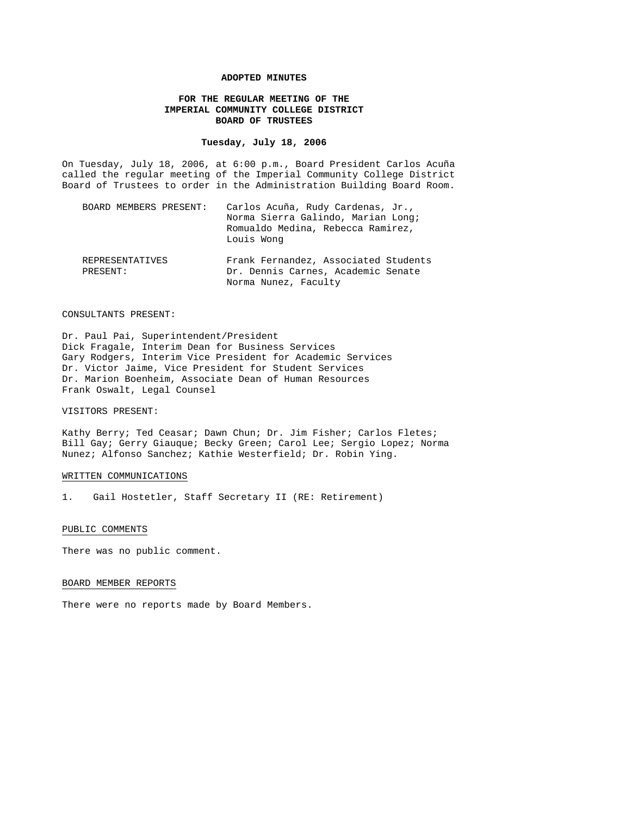#### **ADOPTED MINUTES**

# **FOR THE REGULAR MEETING OF THE IMPERIAL COMMUNITY COLLEGE DISTRICT BOARD OF TRUSTEES**

## **Tuesday, July 18, 2006**

On Tuesday, July 18, 2006, at 6:00 p.m., Board President Carlos Acuña called the regular meeting of the Imperial Community College District Board of Trustees to order in the Administration Building Board Room.

| BOARD MEMBERS PRESENT:      | Carlos Acuña, Rudy Cardenas, Jr.,<br>Norma Sierra Galindo, Marian Long;<br>Romualdo Medina, Rebecca Ramirez,<br>Louis Wong |
|-----------------------------|----------------------------------------------------------------------------------------------------------------------------|
| REPRESENTATIVES<br>PRESENT: | Frank Fernandez, Associated Students<br>Dr. Dennis Carnes, Academic Senate<br>Norma Nunez, Faculty                         |

#### CONSULTANTS PRESENT:

Dr. Paul Pai, Superintendent/President Dick Fragale, Interim Dean for Business Services Gary Rodgers, Interim Vice President for Academic Services Dr. Victor Jaime, Vice President for Student Services Dr. Marion Boenheim, Associate Dean of Human Resources Frank Oswalt, Legal Counsel

## VISITORS PRESENT:

Kathy Berry; Ted Ceasar; Dawn Chun; Dr. Jim Fisher; Carlos Fletes; Bill Gay; Gerry Giauque; Becky Green; Carol Lee; Sergio Lopez; Norma Nunez; Alfonso Sanchez; Kathie Westerfield; Dr. Robin Ying.

### WRITTEN COMMUNICATIONS

1. Gail Hostetler, Staff Secretary II (RE: Retirement)

#### PUBLIC COMMENTS

There was no public comment.

### BOARD MEMBER REPORTS

There were no reports made by Board Members.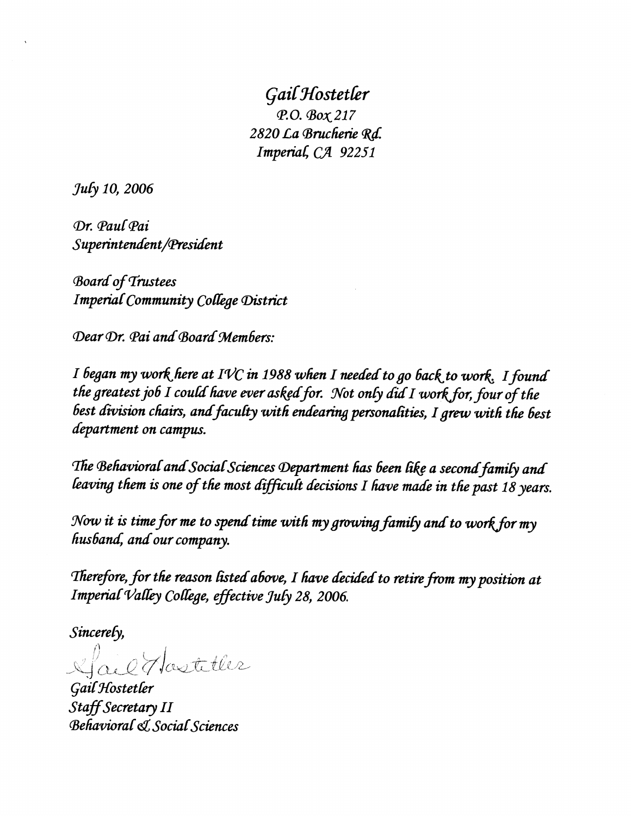Gail Hostetler P.O. Box 217 2820 La Brucherie Rd. Imperial, CA 92251

July 10, 2006

Dr. Paul Pai Superintendent/President

**Board of Trustees Imperial Community College District** 

Dear Dr. Pai and Board Members:

I began my work here at IVC in 1988 when I needed to go back to work. I found the greatest job I could have ever asked for. Not only did I work for, four of the best division chairs, and faculty with endearing personalities, I grew with the best department on campus.

The Behavioral and Social Sciences Department has been like a second family and leaving them is one of the most difficult decisions I have made in the past 18 years.

Now it is time for me to spend time with my growing family and to work for my husband, and our company.

Therefore, for the reason listed above, I have decided to retire from my position at Imperial Valley College, effective July 28, 2006.

Sincerely,

Mail Hasteller

Gail Hostetler Staff Secretary II **Behavioral & Social Sciences**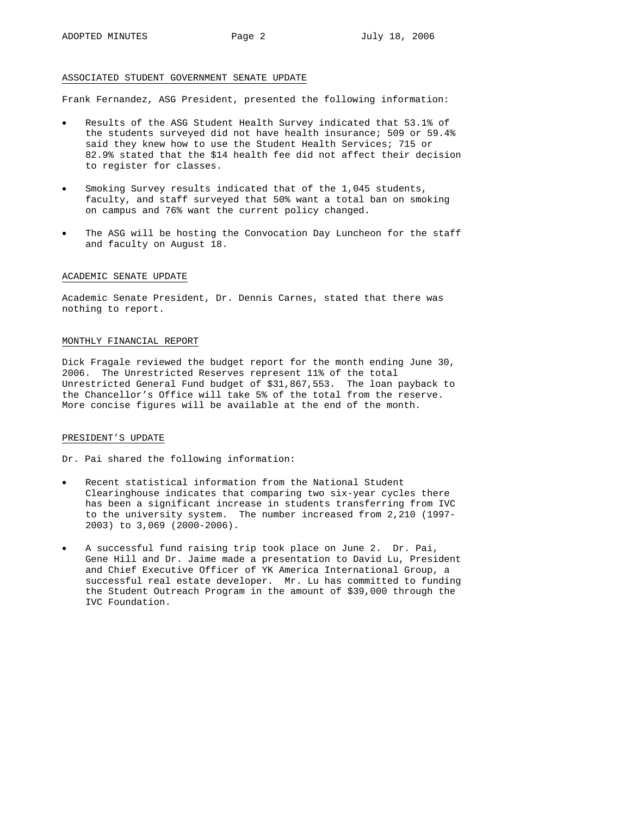#### ASSOCIATED STUDENT GOVERNMENT SENATE UPDATE

Frank Fernandez, ASG President, presented the following information:

- Results of the ASG Student Health Survey indicated that 53.1% of the students surveyed did not have health insurance; 509 or 59.4% said they knew how to use the Student Health Services; 715 or 82.9% stated that the \$14 health fee did not affect their decision to register for classes.
- Smoking Survey results indicated that of the 1,045 students, faculty, and staff surveyed that 50% want a total ban on smoking on campus and 76% want the current policy changed.
- The ASG will be hosting the Convocation Day Luncheon for the staff and faculty on August 18.

#### ACADEMIC SENATE UPDATE

Academic Senate President, Dr. Dennis Carnes, stated that there was nothing to report.

### MONTHLY FINANCIAL REPORT

Dick Fragale reviewed the budget report for the month ending June 30, 2006. The Unrestricted Reserves represent 11% of the total Unrestricted General Fund budget of \$31,867,553. The loan payback to the Chancellor's Office will take 5% of the total from the reserve. More concise figures will be available at the end of the month.

### PRESIDENT'S UPDATE

Dr. Pai shared the following information:

- Recent statistical information from the National Student Clearinghouse indicates that comparing two six-year cycles there has been a significant increase in students transferring from IVC to the university system. The number increased from 2,210 (1997- 2003) to 3,069 (2000-2006).
- A successful fund raising trip took place on June 2. Dr. Pai, Gene Hill and Dr. Jaime made a presentation to David Lu, President and Chief Executive Officer of YK America International Group, a successful real estate developer. Mr. Lu has committed to funding the Student Outreach Program in the amount of \$39,000 through the IVC Foundation.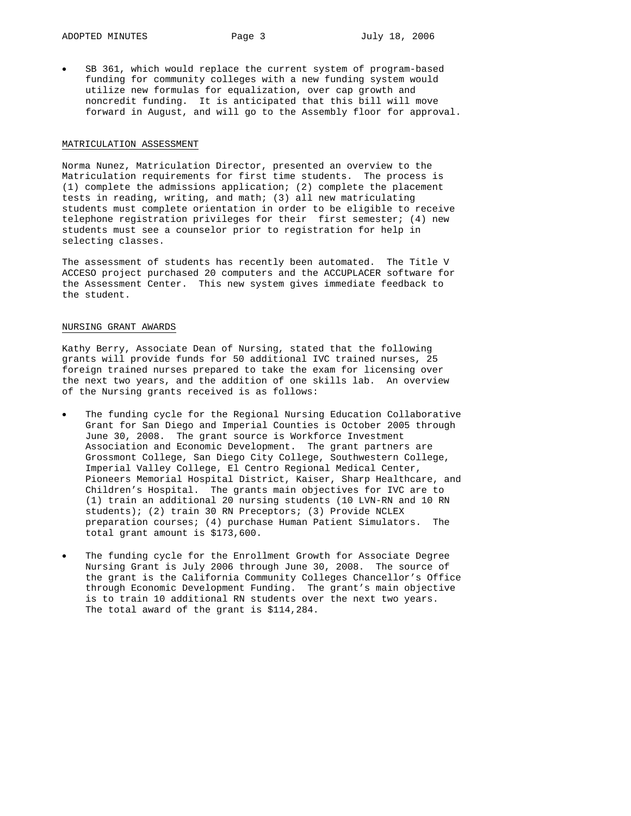SB 361, which would replace the current system of program-based funding for community colleges with a new funding system would utilize new formulas for equalization, over cap growth and noncredit funding. It is anticipated that this bill will move forward in August, and will go to the Assembly floor for approval.

#### MATRICULATION ASSESSMENT

Norma Nunez, Matriculation Director, presented an overview to the Matriculation requirements for first time students. The process is (1) complete the admissions application; (2) complete the placement tests in reading, writing, and math; (3) all new matriculating students must complete orientation in order to be eligible to receive telephone registration privileges for their first semester; (4) new students must see a counselor prior to registration for help in selecting classes.

The assessment of students has recently been automated. The Title V ACCESO project purchased 20 computers and the ACCUPLACER software for the Assessment Center. This new system gives immediate feedback to the student.

### NURSING GRANT AWARDS

Kathy Berry, Associate Dean of Nursing, stated that the following grants will provide funds for 50 additional IVC trained nurses, 25 foreign trained nurses prepared to take the exam for licensing over the next two years, and the addition of one skills lab. An overview of the Nursing grants received is as follows:

- The funding cycle for the Regional Nursing Education Collaborative Grant for San Diego and Imperial Counties is October 2005 through June 30, 2008. The grant source is Workforce Investment Association and Economic Development. The grant partners are Grossmont College, San Diego City College, Southwestern College, Imperial Valley College, El Centro Regional Medical Center, Pioneers Memorial Hospital District, Kaiser, Sharp Healthcare, and Children's Hospital. The grants main objectives for IVC are to (1) train an additional 20 nursing students (10 LVN-RN and 10 RN students); (2) train 30 RN Preceptors; (3) Provide NCLEX preparation courses; (4) purchase Human Patient Simulators. The total grant amount is \$173,600.
- The funding cycle for the Enrollment Growth for Associate Degree Nursing Grant is July 2006 through June 30, 2008. The source of the grant is the California Community Colleges Chancellor's Office through Economic Development Funding. The grant's main objective is to train 10 additional RN students over the next two years. The total award of the grant is \$114,284.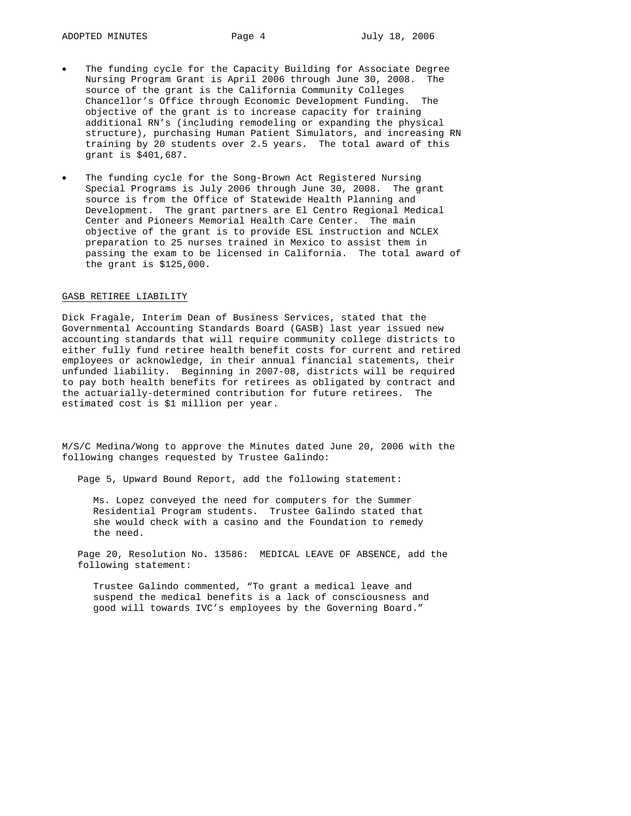- The funding cycle for the Capacity Building for Associate Degree Nursing Program Grant is April 2006 through June 30, 2008. The source of the grant is the California Community Colleges Chancellor's Office through Economic Development Funding. The objective of the grant is to increase capacity for training additional RN's (including remodeling or expanding the physical structure), purchasing Human Patient Simulators, and increasing RN training by 20 students over 2.5 years. The total award of this grant is \$401,687.
- The funding cycle for the Song-Brown Act Registered Nursing Special Programs is July 2006 through June 30, 2008. The grant source is from the Office of Statewide Health Planning and Development. The grant partners are El Centro Regional Medical Center and Pioneers Memorial Health Care Center. The main objective of the grant is to provide ESL instruction and NCLEX preparation to 25 nurses trained in Mexico to assist them in passing the exam to be licensed in California. The total award of the grant is \$125,000.

### GASB RETIREE LIABILITY

Dick Fragale, Interim Dean of Business Services, stated that the Governmental Accounting Standards Board (GASB) last year issued new accounting standards that will require community college districts to either fully fund retiree health benefit costs for current and retired employees or acknowledge, in their annual financial statements, their unfunded liability. Beginning in 2007-08, districts will be required to pay both health benefits for retirees as obligated by contract and the actuarially-determined contribution for future retirees. The estimated cost is \$1 million per year.

M/S/C Medina/Wong to approve the Minutes dated June 20, 2006 with the following changes requested by Trustee Galindo:

Page 5, Upward Bound Report, add the following statement:

Ms. Lopez conveyed the need for computers for the Summer Residential Program students. Trustee Galindo stated that she would check with a casino and the Foundation to remedy the need.

Page 20, Resolution No. 13586: MEDICAL LEAVE OF ABSENCE, add the following statement:

Trustee Galindo commented, "To grant a medical leave and suspend the medical benefits is a lack of consciousness and good will towards IVC's employees by the Governing Board."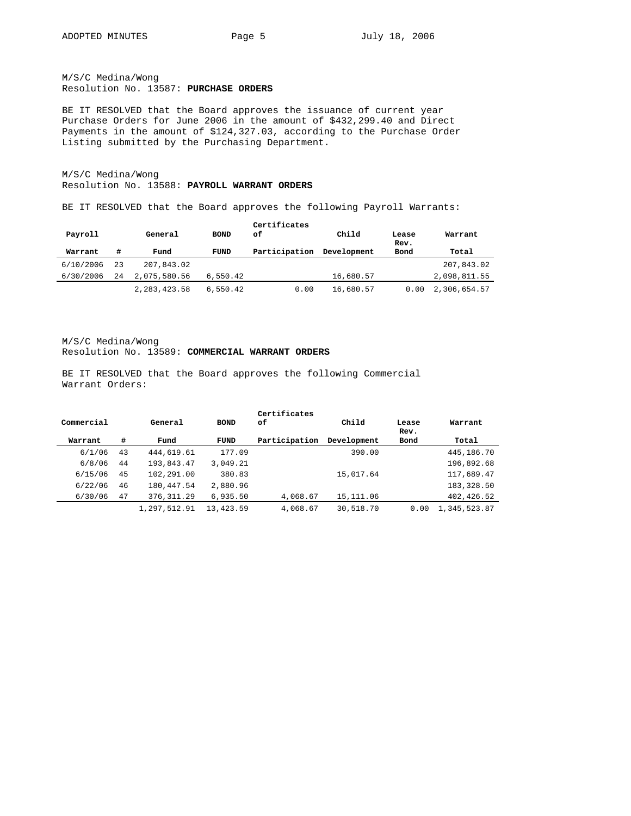M/S/C Medina/Wong Resolution No. 13587: **PURCHASE ORDERS**

BE IT RESOLVED that the Board approves the issuance of current year Purchase Orders for June 2006 in the amount of \$432,299.40 and Direct Payments in the amount of \$124,327.03, according to the Purchase Order Listing submitted by the Purchasing Department.

M/S/C Medina/Wong Resolution No. 13588: **PAYROLL WARRANT ORDERS**

BE IT RESOLVED that the Board approves the following Payroll Warrants:

| Payroll   |    | General        | <b>BOND</b> | Certificates<br>оf | Child       | Lease<br>Rev. | Warrant      |
|-----------|----|----------------|-------------|--------------------|-------------|---------------|--------------|
| Warrant   | #  | Fund           | <b>FUND</b> | Participation      | Development | Bond          | Total        |
| 6/10/2006 | 23 | 207,843.02     |             |                    |             |               | 207,843.02   |
| 6/30/2006 | 24 | 2,075,580.56   | 6,550.42    |                    | 16,680.57   |               | 2,098,811.55 |
|           |    | 2, 283, 423.58 | 6.550.42    | 0.00               | 16,680.57   | 0.00          | 2,306,654.57 |

M/S/C Medina/Wong Resolution No. 13589: **COMMERCIAL WARRANT ORDERS**

BE IT RESOLVED that the Board approves the following Commercial Warrant Orders:

| Commercial |    | General      | <b>BOND</b> | Certificates<br>оf | Child       | Lease<br>Rev. | Warrant      |
|------------|----|--------------|-------------|--------------------|-------------|---------------|--------------|
| Warrant    | #  | Fund         | <b>FUND</b> | Participation      | Development | Bond          | Total        |
| 6/1/06     | 43 | 444,619.61   | 177.09      |                    | 390.00      |               | 445,186.70   |
| 6/8/06     | 44 | 193,843.47   | 3,049.21    |                    |             |               | 196,892.68   |
| 6/15/06    | 45 | 102,291.00   | 380.83      |                    | 15,017.64   |               | 117,689.47   |
| 6/22/06    | 46 | 180,447.54   | 2,880.96    |                    |             |               | 183,328.50   |
| 6/30/06    | 47 | 376, 311.29  | 6.935.50    | 4,068.67           | 15,111.06   |               | 402,426.52   |
|            |    | 1,297,512.91 | 13,423.59   | 4,068.67           | 30,518.70   | 0.00          | 1,345,523.87 |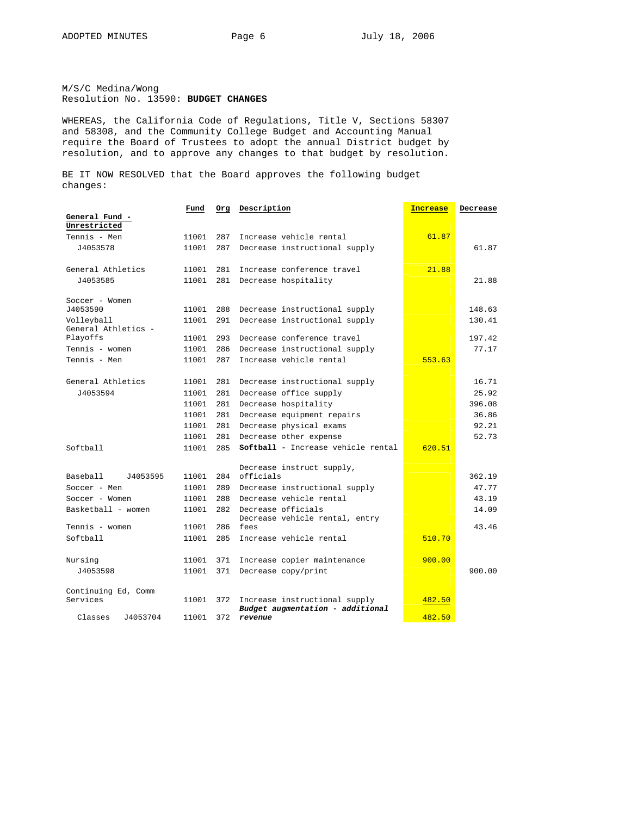M/S/C Medina/Wong Resolution No. 13590: **BUDGET CHANGES** 

WHEREAS, the California Code of Regulations, Title V, Sections 58307 and 58308, and the Community College Budget and Accounting Manual require the Board of Trustees to adopt the annual District budget by resolution, and to approve any changes to that budget by resolution.

BE IT NOW RESOLVED that the Board approves the following budget changes:

|                      | Fund  | Org | Description                                 | <b>Increase</b> | Decrease |
|----------------------|-------|-----|---------------------------------------------|-----------------|----------|
| General Fund -       |       |     |                                             |                 |          |
| Unrestricted         |       |     |                                             |                 |          |
| Tennis - Men         | 11001 | 287 | Increase vehicle rental                     | 61.87           |          |
| J4053578             | 11001 | 287 | Decrease instructional supply               |                 | 61.87    |
|                      |       |     |                                             |                 |          |
| General Athletics    | 11001 | 281 | Increase conference travel                  | 21.88           |          |
| J4053585             | 11001 | 281 | Decrease hospitality                        |                 | 21.88    |
|                      |       |     |                                             |                 |          |
| Soccer - Women       |       |     |                                             |                 |          |
| J4053590             | 11001 | 288 | Decrease instructional supply               |                 | 148.63   |
| Volleyball           | 11001 | 291 | Decrease instructional supply               |                 | 130.41   |
| General Athletics -  |       |     |                                             |                 |          |
| Playoffs             | 11001 | 293 | Decrease conference travel                  |                 | 197.42   |
| Tennis - women       | 11001 | 286 | Decrease instructional supply               |                 | 77.17    |
| Tennis - Men         | 11001 | 287 | Increase vehicle rental                     | 553.63          |          |
|                      |       |     |                                             |                 |          |
| General Athletics    | 11001 | 281 | Decrease instructional supply               |                 | 16.71    |
| J4053594             | 11001 | 281 | Decrease office supply                      |                 | 25.92    |
|                      | 11001 | 281 | Decrease hospitality                        |                 | 396.08   |
|                      | 11001 | 281 | Decrease equipment repairs                  |                 | 36.86    |
|                      | 11001 | 281 | Decrease physical exams                     |                 | 92.21    |
|                      | 11001 | 281 | Decrease other expense                      |                 | 52.73    |
| Softball             | 11001 | 285 | Softball - Increase vehicle rental          | 620.51          |          |
|                      |       |     |                                             |                 |          |
|                      |       |     | Decrease instruct supply,                   |                 |          |
| Baseball<br>J4053595 | 11001 | 284 | officials                                   |                 | 362.19   |
| Soccer - Men         | 11001 | 289 | Decrease instructional supply               |                 | 47.77    |
| Soccer - Women       | 11001 | 288 | Decrease vehicle rental                     |                 | 43.19    |
| Basketball - women   | 11001 | 282 | Decrease officials                          |                 | 14.09    |
|                      |       |     | Decrease vehicle rental, entry              |                 |          |
| Tennis - women       | 11001 | 286 | fees                                        |                 | 43.46    |
| Softball             | 11001 | 285 | Increase vehicle rental                     | 510.70          |          |
|                      |       |     |                                             |                 |          |
| Nursing              | 11001 | 371 | Increase copier maintenance                 | 900.00          |          |
| J4053598             | 11001 | 371 | Decrease copy/print                         |                 | 900.00   |
|                      |       |     |                                             |                 |          |
| Continuing Ed, Comm  |       |     |                                             |                 |          |
| Services             | 11001 | 372 | Increase instructional supply               | 482.50          |          |
| Classes<br>J4053704  | 11001 | 372 | Budget augmentation - additional<br>revenue | 482.50          |          |
|                      |       |     |                                             |                 |          |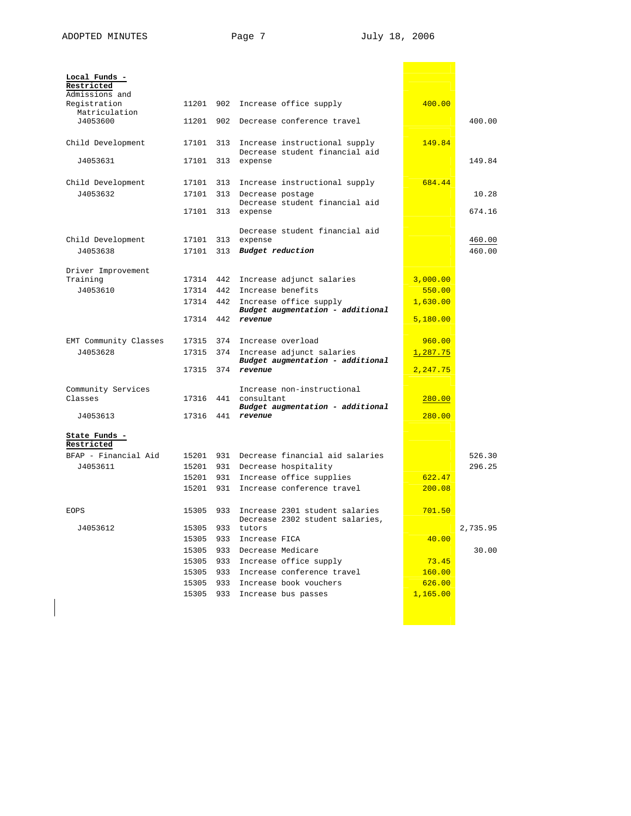$\overline{\phantom{a}}$ 

T

| Local Funds -<br>Restricted    |           |     |                                                                   |                  |          |
|--------------------------------|-----------|-----|-------------------------------------------------------------------|------------------|----------|
| Admissions and<br>Registration | 11201     | 902 | Increase office supply                                            | 400.00           |          |
| Matriculation<br>J4053600      | 11201     |     | 902 Decrease conference travel                                    |                  | 400.00   |
| Child Development              | 17101     | 313 | Increase instructional supply<br>Decrease student financial aid   | 149.84           |          |
| J4053631                       | 17101     | 313 | expense                                                           |                  | 149.84   |
| Child Development              | 17101     | 313 | Increase instructional supply                                     | 684.44           |          |
| J4053632                       | 17101     | 313 | Decrease postage<br>Decrease student financial aid                |                  | 10.28    |
|                                | 17101     | 313 | expense                                                           |                  | 674.16   |
| Child Development              | 17101     | 313 | Decrease student financial aid<br>expense                         |                  | 460.00   |
| J4053638                       | 17101     | 313 | Budget reduction                                                  |                  | 460.00   |
| Driver Improvement<br>Training | 17314     | 442 | Increase adjunct salaries                                         | 3,000.00         |          |
| J4053610                       | 17314 442 |     | Increase benefits                                                 | 550.00           |          |
|                                | 17314     | 442 | Increase office supply<br>Budget augmentation - additional        | 1,630.00         |          |
|                                | 17314     | 442 | revenue                                                           | 5,180.00         |          |
| EMT Community Classes          | 17315     | 374 | Increase overload                                                 | 960.00           |          |
| J4053628                       | 17315     | 374 | Increase adjunct salaries<br>Budget augmentation - additional     | 1,287.75         |          |
|                                | 17315     | 374 | revenue                                                           | 2,247.75         |          |
| Community Services<br>Classes  | 17316     | 441 | Increase non-instructional<br>consultant                          | 280.00           |          |
| J4053613                       | 17316     | 441 | Budget augmentation - additional<br>revenue                       | 280.00           |          |
| State Funds -                  |           |     |                                                                   |                  |          |
| Restricted                     |           |     |                                                                   |                  |          |
| BFAP - Financial Aid           | 15201     |     | 931 Decrease financial aid salaries                               |                  | 526.30   |
| J4053611                       | 15201     | 931 | Decrease hospitality                                              |                  | 296.25   |
|                                | 15201     | 931 | Increase office supplies<br>Increase conference travel            | 622.47<br>200.08 |          |
|                                | 15201     | 931 |                                                                   |                  |          |
| <b>EOPS</b>                    | 15305     | 933 | Increase 2301 student salaries<br>Decrease 2302 student salaries, | 701.50           |          |
| J4053612                       | 15305     | 933 | tutors                                                            |                  | 2,735.95 |
|                                | 15305     | 933 | Increase FICA                                                     | 40.00            |          |
|                                | 15305     |     | 933 Decrease Medicare                                             |                  | 30.00    |
|                                | 15305     | 933 | Increase office supply                                            | 73.45            |          |
|                                | 15305     | 933 | Increase conference travel                                        | 160.00           |          |
|                                | 15305     | 933 | Increase book vouchers                                            | 626.00           |          |
|                                | 15305     | 933 | Increase bus passes                                               | 1,165.00         |          |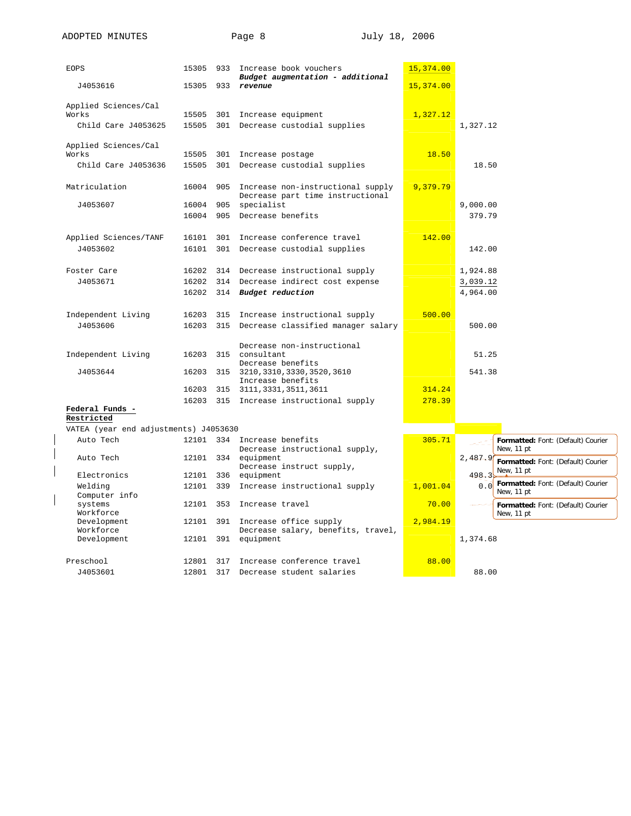| <b>EOPS</b>                           | 15305 |     | 933 Increase book vouchers<br>Budget augmentation - additional        | 15,374.00 |                                                         |
|---------------------------------------|-------|-----|-----------------------------------------------------------------------|-----------|---------------------------------------------------------|
| J4053616                              | 15305 | 933 | revenue                                                               | 15,374.00 |                                                         |
| Applied Sciences/Cal                  |       |     |                                                                       |           |                                                         |
| Works                                 | 15505 | 301 | Increase equipment                                                    | 1,327.12  |                                                         |
| Child Care J4053625                   | 15505 | 301 | Decrease custodial supplies                                           |           | 1,327.12                                                |
| Applied Sciences/Cal                  |       |     |                                                                       |           |                                                         |
| Works                                 | 15505 |     | 301 Increase postage                                                  | 18.50     |                                                         |
| Child Care J4053636                   | 15505 | 301 | Decrease custodial supplies                                           |           | 18.50                                                   |
| Matriculation                         | 16004 | 905 | Increase non-instructional supply<br>Decrease part time instructional | 9,379.79  |                                                         |
| J4053607                              | 16004 | 905 | specialist                                                            |           | 9,000.00                                                |
|                                       | 16004 | 905 | Decrease benefits                                                     |           | 379.79                                                  |
| Applied Sciences/TANF                 | 16101 | 301 | Increase conference travel                                            | 142.00    |                                                         |
| J4053602                              | 16101 |     | 301 Decrease custodial supplies                                       |           | 142.00                                                  |
|                                       |       |     |                                                                       |           |                                                         |
| Foster Care                           | 16202 |     | 314 Decrease instructional supply                                     |           | 1,924.88                                                |
| J4053671                              | 16202 | 314 | Decrease indirect cost expense                                        |           | 3,039.12                                                |
|                                       | 16202 |     | 314 Budget reduction                                                  |           | 4,964.00                                                |
| Independent Living                    | 16203 |     | 315 Increase instructional supply                                     | 500.00    |                                                         |
| J4053606                              | 16203 | 315 | Decrease classified manager salary                                    |           | 500.00                                                  |
|                                       |       |     |                                                                       |           |                                                         |
|                                       |       |     | Decrease non-instructional                                            |           |                                                         |
| Independent Living                    | 16203 |     | 315 consultant<br>Decrease benefits                                   |           | 51.25                                                   |
| J4053644                              | 16203 |     | 315 3210, 3310, 3330, 3520, 3610<br>Increase benefits                 |           | 541.38                                                  |
|                                       | 16203 |     | 315 3111, 3331, 3511, 3611                                            | 314.24    |                                                         |
|                                       | 16203 |     | 315 Increase instructional supply                                     | 278.39    |                                                         |
| Federal Funds -                       |       |     |                                                                       |           |                                                         |
| Restricted                            |       |     |                                                                       |           |                                                         |
| VATEA (year end adjustments) J4053630 |       |     |                                                                       |           |                                                         |
| Auto Tech                             | 12101 |     | 334 Increase benefits<br>Decrease instructional supply,               | 305.71    | Formatted: Font: (Default) Courier<br>New, 11 pt        |
| Auto Tech                             | 12101 |     | 334 equipment<br>Decrease instruct supply,                            |           | 2,487.9<br>Formatted: Font: (Default) Courier           |
| Electronics                           | 12101 | 336 | equipment                                                             |           | New, 11 pt<br>498.3                                     |
| Welding<br>Computer info              | 12101 | 339 | Increase instructional supply                                         | 1,001.04  | Formatted: Font: (Default) Courier<br>0.0<br>New, 11 pt |
| systems<br>Workforce                  | 12101 | 353 | Increase travel                                                       | 70.00     | Formatted: Font: (Default) Courier<br>New, 11 pt        |
| Development                           | 12101 |     | 391 Increase office supply                                            | 2,984.19  |                                                         |
| Workforce<br>Development              | 12101 | 391 | Decrease salary, benefits, travel,<br>equipment                       |           | 1,374.68                                                |
|                                       |       |     |                                                                       |           |                                                         |
| Preschool                             | 12801 |     | 317 Increase conference travel                                        | 88.00     |                                                         |
| J4053601                              | 12801 |     | 317 Decrease student salaries                                         |           | 88.00                                                   |

 $\overline{\phantom{a}}$  $\overline{\phantom{a}}$  $\overline{\phantom{a}}$ 

 $\overline{\phantom{a}}$ 

J4053601 12801 317 Decrease student salaries **198.00** 88.00

ADOPTED MINUTES Page 8 July 18, 2006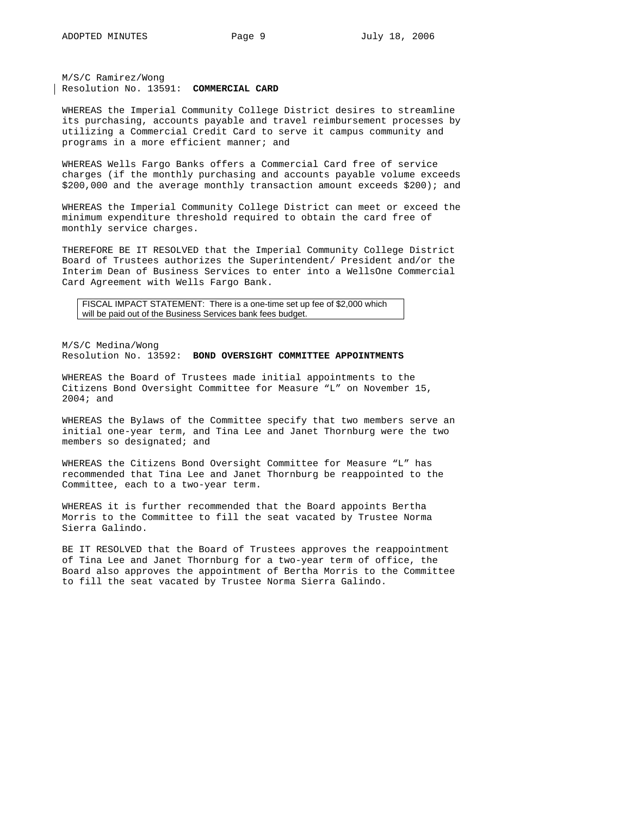M/S/C Ramirez/Wong Resolution No. 13591: **COMMERCIAL CARD**

WHEREAS the Imperial Community College District desires to streamline its purchasing, accounts payable and travel reimbursement processes by utilizing a Commercial Credit Card to serve it campus community and programs in a more efficient manner; and

WHEREAS Wells Fargo Banks offers a Commercial Card free of service charges (if the monthly purchasing and accounts payable volume exceeds \$200,000 and the average monthly transaction amount exceeds \$200); and

WHEREAS the Imperial Community College District can meet or exceed the minimum expenditure threshold required to obtain the card free of monthly service charges.

THEREFORE BE IT RESOLVED that the Imperial Community College District Board of Trustees authorizes the Superintendent/ President and/or the Interim Dean of Business Services to enter into a WellsOne Commercial Card Agreement with Wells Fargo Bank.

FISCAL IMPACT STATEMENT: There is a one-time set up fee of \$2,000 which will be paid out of the Business Services bank fees budget.

M/S/C Medina/Wong Resolution No. 13592: **BOND OVERSIGHT COMMITTEE APPOINTMENTS** 

WHEREAS the Board of Trustees made initial appointments to the Citizens Bond Oversight Committee for Measure "L" on November 15, 2004; and

WHEREAS the Bylaws of the Committee specify that two members serve an initial one-year term, and Tina Lee and Janet Thornburg were the two members so designated; and

WHEREAS the Citizens Bond Oversight Committee for Measure "L" has recommended that Tina Lee and Janet Thornburg be reappointed to the Committee, each to a two-year term.

WHEREAS it is further recommended that the Board appoints Bertha Morris to the Committee to fill the seat vacated by Trustee Norma Sierra Galindo.

BE IT RESOLVED that the Board of Trustees approves the reappointment of Tina Lee and Janet Thornburg for a two-year term of office, the Board also approves the appointment of Bertha Morris to the Committee to fill the seat vacated by Trustee Norma Sierra Galindo.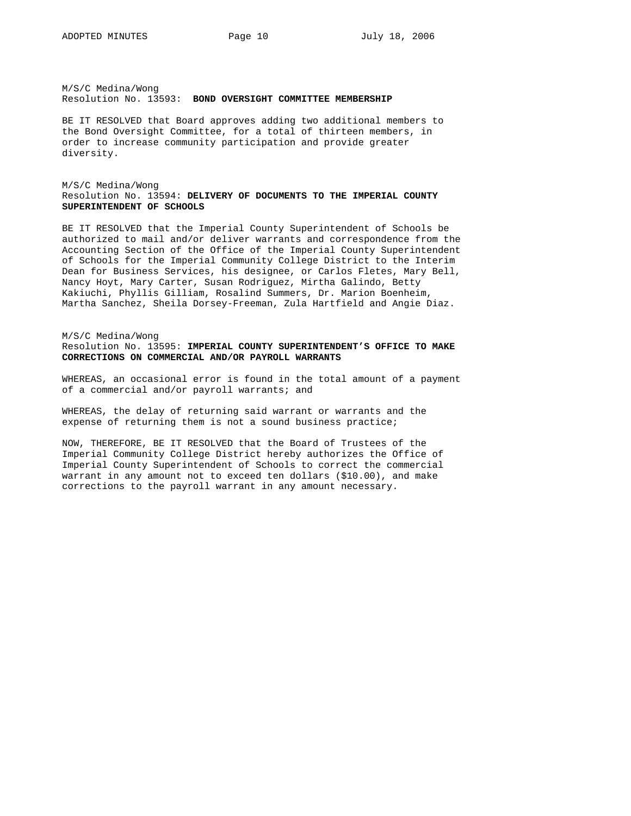M/S/C Medina/Wong Resolution No. 13593: **BOND OVERSIGHT COMMITTEE MEMBERSHIP** 

BE IT RESOLVED that Board approves adding two additional members to the Bond Oversight Committee, for a total of thirteen members, in order to increase community participation and provide greater diversity.

## M/S/C Medina/Wong Resolution No. 13594: **DELIVERY OF DOCUMENTS TO THE IMPERIAL COUNTY SUPERINTENDENT OF SCHOOLS**

BE IT RESOLVED that the Imperial County Superintendent of Schools be authorized to mail and/or deliver warrants and correspondence from the Accounting Section of the Office of the Imperial County Superintendent of Schools for the Imperial Community College District to the Interim Dean for Business Services, his designee, or Carlos Fletes, Mary Bell, Nancy Hoyt, Mary Carter, Susan Rodriguez, Mirtha Galindo, Betty Kakiuchi, Phyllis Gilliam, Rosalind Summers, Dr. Marion Boenheim, Martha Sanchez, Sheila Dorsey-Freeman, Zula Hartfield and Angie Diaz.

### M/S/C Medina/Wong Resolution No. 13595: **IMPERIAL COUNTY SUPERINTENDENT'S OFFICE TO MAKE CORRECTIONS ON COMMERCIAL AND/OR PAYROLL WARRANTS**

WHEREAS, an occasional error is found in the total amount of a payment of a commercial and/or payroll warrants; and

WHEREAS, the delay of returning said warrant or warrants and the expense of returning them is not a sound business practice;

NOW, THEREFORE, BE IT RESOLVED that the Board of Trustees of the Imperial Community College District hereby authorizes the Office of Imperial County Superintendent of Schools to correct the commercial warrant in any amount not to exceed ten dollars (\$10.00), and make corrections to the payroll warrant in any amount necessary.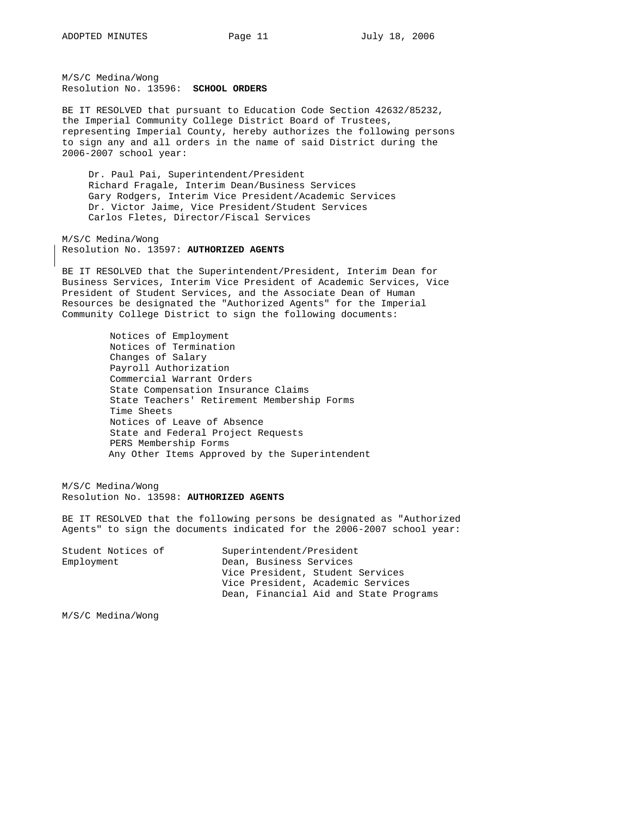M/S/C Medina/Wong Resolution No. 13596: **SCHOOL ORDERS** 

BE IT RESOLVED that pursuant to Education Code Section 42632/85232, the Imperial Community College District Board of Trustees, representing Imperial County, hereby authorizes the following persons to sign any and all orders in the name of said District during the 2006-2007 school year:

 Dr. Paul Pai, Superintendent/President Richard Fragale, Interim Dean/Business Services Gary Rodgers, Interim Vice President/Academic Services Dr. Victor Jaime, Vice President/Student Services Carlos Fletes, Director/Fiscal Services

M/S/C Medina/Wong Resolution No. 13597: **AUTHORIZED AGENTS**

BE IT RESOLVED that the Superintendent/President, Interim Dean for Business Services, Interim Vice President of Academic Services, Vice President of Student Services, and the Associate Dean of Human Resources be designated the "Authorized Agents" for the Imperial Community College District to sign the following documents:

> Notices of Employment Notices of Termination Changes of Salary Payroll Authorization Commercial Warrant Orders State Compensation Insurance Claims State Teachers' Retirement Membership Forms Time Sheets Notices of Leave of Absence State and Federal Project Requests PERS Membership Forms Any Other Items Approved by the Superintendent

M/S/C Medina/Wong Resolution No. 13598: **AUTHORIZED AGENTS**

BE IT RESOLVED that the following persons be designated as "Authorized Agents" to sign the documents indicated for the 2006-2007 school year:

| Student Notices of | Superintendent/President               |  |  |  |  |
|--------------------|----------------------------------------|--|--|--|--|
| Employment         | Dean, Business Services                |  |  |  |  |
|                    | Vice President, Student Services       |  |  |  |  |
|                    | Vice President, Academic Services      |  |  |  |  |
|                    | Dean, Financial Aid and State Programs |  |  |  |  |

M/S/C Medina/Wong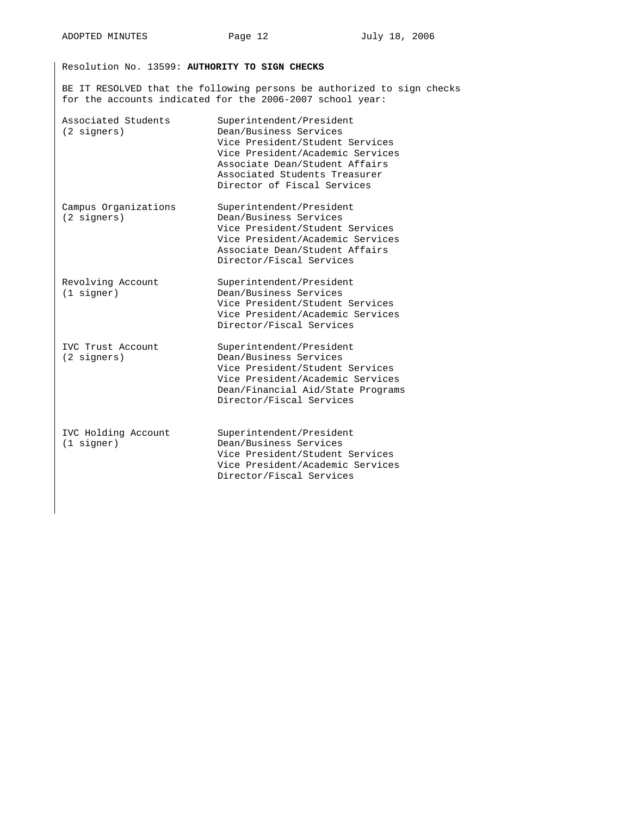Resolution No. 13599: **AUTHORITY TO SIGN CHECKS** 

BE IT RESOLVED that the following persons be authorized to sign checks for the accounts indicated for the 2006-2007 school year:

| Associated Students<br>(2 signers)            | Superintendent/President<br>Dean/Business Services<br>Vice President/Student Services<br>Vice President/Academic Services<br>Associate Dean/Student Affairs<br>Associated Students Treasurer<br>Director of Fiscal Services |
|-----------------------------------------------|-----------------------------------------------------------------------------------------------------------------------------------------------------------------------------------------------------------------------------|
| Campus Organizations<br>(2 signers)           | Superintendent/President<br>Dean/Business Services<br>Vice President/Student Services<br>Vice President/Academic Services<br>Associate Dean/Student Affairs<br>Director/Fiscal Services                                     |
| Revolving Account<br>$(1$ signer)             | Superintendent/President<br>Dean/Business Services<br>Vice President/Student Services<br>Vice President/Academic Services<br>Director/Fiscal Services                                                                       |
| IVC Trust Account<br>$(2 \text{ signatures})$ | Superintendent/President<br>Dean/Business Services<br>Vice President/Student Services<br>Vice President/Academic Services<br>Dean/Financial Aid/State Programs<br>Director/Fiscal Services                                  |
| IVC Holding Account<br>$(1$ signer)           | Superintendent/President<br>Dean/Business Services<br>Vice President/Student Services<br>Vice President/Academic Services<br>Director/Fiscal Services                                                                       |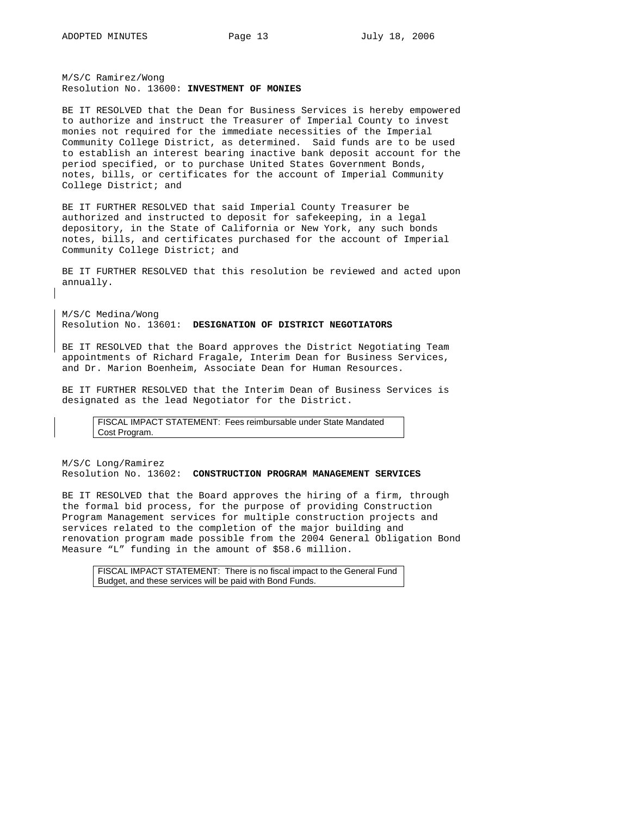M/S/C Ramirez/Wong Resolution No. 13600: **INVESTMENT OF MONIES** 

BE IT RESOLVED that the Dean for Business Services is hereby empowered to authorize and instruct the Treasurer of Imperial County to invest monies not required for the immediate necessities of the Imperial Community College District, as determined. Said funds are to be used to establish an interest bearing inactive bank deposit account for the period specified, or to purchase United States Government Bonds, notes, bills, or certificates for the account of Imperial Community College District; and

BE IT FURTHER RESOLVED that said Imperial County Treasurer be authorized and instructed to deposit for safekeeping, in a legal depository, in the State of California or New York, any such bonds notes, bills, and certificates purchased for the account of Imperial Community College District; and

BE IT FURTHER RESOLVED that this resolution be reviewed and acted upon annually.

M/S/C Medina/Wong Resolution No. 13601: **DESIGNATION OF DISTRICT NEGOTIATORS**

BE IT RESOLVED that the Board approves the District Negotiating Team appointments of Richard Fragale, Interim Dean for Business Services, and Dr. Marion Boenheim, Associate Dean for Human Resources.

BE IT FURTHER RESOLVED that the Interim Dean of Business Services is designated as the lead Negotiator for the District.

FISCAL IMPACT STATEMENT: Fees reimbursable under State Mandated Cost Program.

M/S/C Long/Ramirez Resolution No. 13602: **CONSTRUCTION PROGRAM MANAGEMENT SERVICES**

BE IT RESOLVED that the Board approves the hiring of a firm, through the formal bid process, for the purpose of providing Construction Program Management services for multiple construction projects and services related to the completion of the major building and renovation program made possible from the 2004 General Obligation Bond Measure "L" funding in the amount of \$58.6 million.

FISCAL IMPACT STATEMENT: There is no fiscal impact to the General Fund Budget, and these services will be paid with Bond Funds.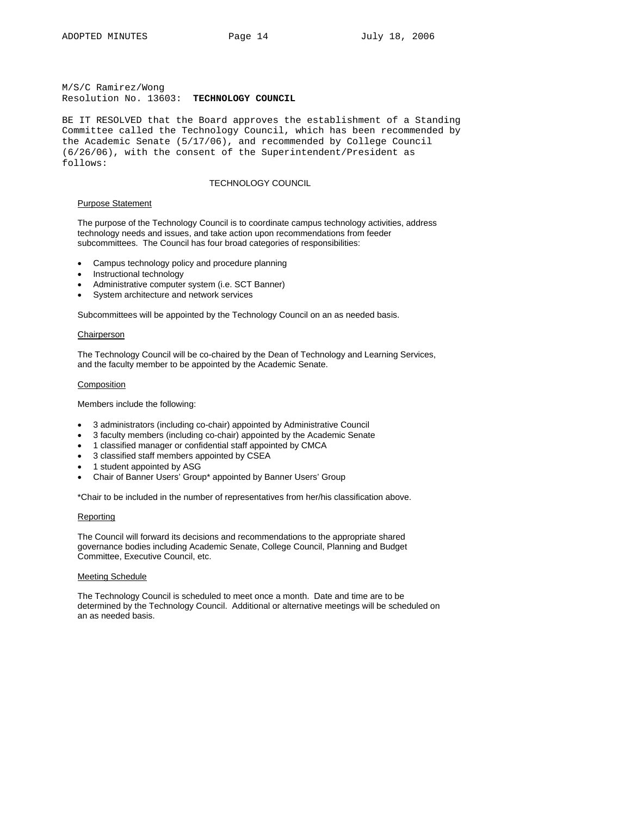M/S/C Ramirez/Wong Resolution No. 13603: **TECHNOLOGY COUNCIL**

BE IT RESOLVED that the Board approves the establishment of a Standing Committee called the Technology Council, which has been recommended by the Academic Senate (5/17/06), and recommended by College Council (6/26/06), with the consent of the Superintendent/President as follows:

### TECHNOLOGY COUNCIL

#### Purpose Statement

The purpose of the Technology Council is to coordinate campus technology activities, address technology needs and issues, and take action upon recommendations from feeder subcommittees. The Council has four broad categories of responsibilities:

- Campus technology policy and procedure planning
- Instructional technology
- Administrative computer system (i.e. SCT Banner)
- System architecture and network services

Subcommittees will be appointed by the Technology Council on an as needed basis.

## Chairperson

The Technology Council will be co-chaired by the Dean of Technology and Learning Services, and the faculty member to be appointed by the Academic Senate.

#### Composition

Members include the following:

- 3 administrators (including co-chair) appointed by Administrative Council
- 3 faculty members (including co-chair) appointed by the Academic Senate
- 1 classified manager or confidential staff appointed by CMCA
- 3 classified staff members appointed by CSEA
- 1 student appointed by ASG
- Chair of Banner Users' Group\* appointed by Banner Users' Group

\*Chair to be included in the number of representatives from her/his classification above.

### Reporting

The Council will forward its decisions and recommendations to the appropriate shared governance bodies including Academic Senate, College Council, Planning and Budget Committee, Executive Council, etc.

## Meeting Schedule

The Technology Council is scheduled to meet once a month. Date and time are to be determined by the Technology Council. Additional or alternative meetings will be scheduled on an as needed basis.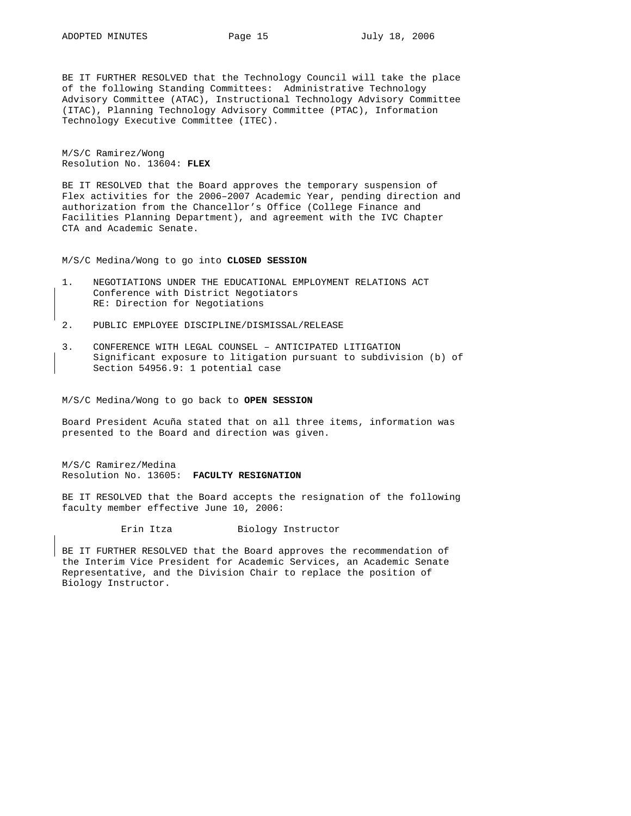BE IT FURTHER RESOLVED that the Technology Council will take the place of the following Standing Committees: Administrative Technology Advisory Committee (ATAC), Instructional Technology Advisory Committee (ITAC), Planning Technology Advisory Committee (PTAC), Information Technology Executive Committee (ITEC).

M/S/C Ramirez/Wong Resolution No. 13604: **FLEX** 

BE IT RESOLVED that the Board approves the temporary suspension of Flex activities for the 2006–2007 Academic Year, pending direction and authorization from the Chancellor's Office (College Finance and Facilities Planning Department), and agreement with the IVC Chapter CTA and Academic Senate.

M/S/C Medina/Wong to go into **CLOSED SESSION**

- 1. NEGOTIATIONS UNDER THE EDUCATIONAL EMPLOYMENT RELATIONS ACT Conference with District Negotiators RE: Direction for Negotiations
- 2. PUBLIC EMPLOYEE DISCIPLINE/DISMISSAL/RELEASE
- 3. CONFERENCE WITH LEGAL COUNSEL ANTICIPATED LITIGATION Significant exposure to litigation pursuant to subdivision (b) of Section 54956.9: 1 potential case

M/S/C Medina/Wong to go back to **OPEN SESSION**

Board President Acuña stated that on all three items, information was presented to the Board and direction was given.

M/S/C Ramirez/Medina Resolution No. 13605: **FACULTY RESIGNATION**

BE IT RESOLVED that the Board accepts the resignation of the following faculty member effective June 10, 2006:

Erin Itza Biology Instructor

BE IT FURTHER RESOLVED that the Board approves the recommendation of the Interim Vice President for Academic Services, an Academic Senate Representative, and the Division Chair to replace the position of Biology Instructor.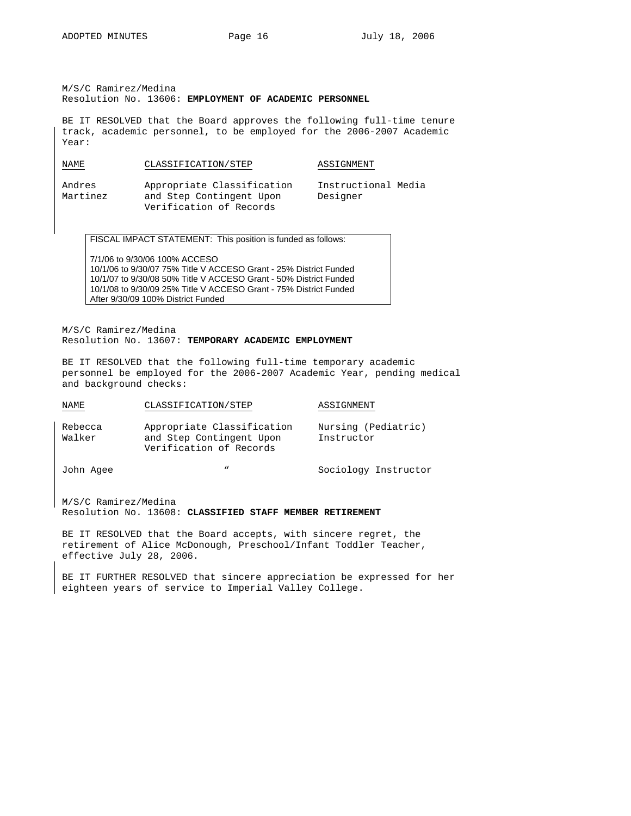M/S/C Ramirez/Medina Resolution No. 13606: **EMPLOYMENT OF ACADEMIC PERSONNEL** 

BE IT RESOLVED that the Board approves the following full-time tenure track, academic personnel, to be employed for the 2006-2007 Academic Year:

| NAME<br>$\sim$ | CLASSIFICATION/STEP        | ASSIGNMENT          |
|----------------|----------------------------|---------------------|
| Andres         | Appropriate Classification | Instructional Media |
| Martinez       | and Step Contingent Upon   | Designer            |

FISCAL IMPACT STATEMENT: This position is funded as follows:

Verification of Records

7/1/06 to 9/30/06 100% ACCESO 10/1/06 to 9/30/07 75% Title V ACCESO Grant - 25% District Funded 10/1/07 to 9/30/08 50% Title V ACCESO Grant - 50% District Funded 10/1/08 to 9/30/09 25% Title V ACCESO Grant - 75% District Funded After 9/30/09 100% District Funded

M/S/C Ramirez/Medina Resolution No. 13607: **TEMPORARY ACADEMIC EMPLOYMENT** 

BE IT RESOLVED that the following full-time temporary academic personnel be employed for the 2006-2007 Academic Year, pending medical and background checks:

| NAME              | CLASSIFICATION/STEP                                                               | ASSIGNMENT                        |
|-------------------|-----------------------------------------------------------------------------------|-----------------------------------|
| Rebecca<br>Walker | Appropriate Classification<br>and Step Contingent Upon<br>Verification of Records | Nursing (Pediatric)<br>Instructor |
| John Agee         | $\boldsymbol{v}$                                                                  | Sociology Instructor              |

M/S/C Ramirez/Medina Resolution No. 13608: **CLASSIFIED STAFF MEMBER RETIREMENT**

BE IT RESOLVED that the Board accepts, with sincere regret, the retirement of Alice McDonough, Preschool/Infant Toddler Teacher, effective July 28, 2006.

BE IT FURTHER RESOLVED that sincere appreciation be expressed for her eighteen years of service to Imperial Valley College.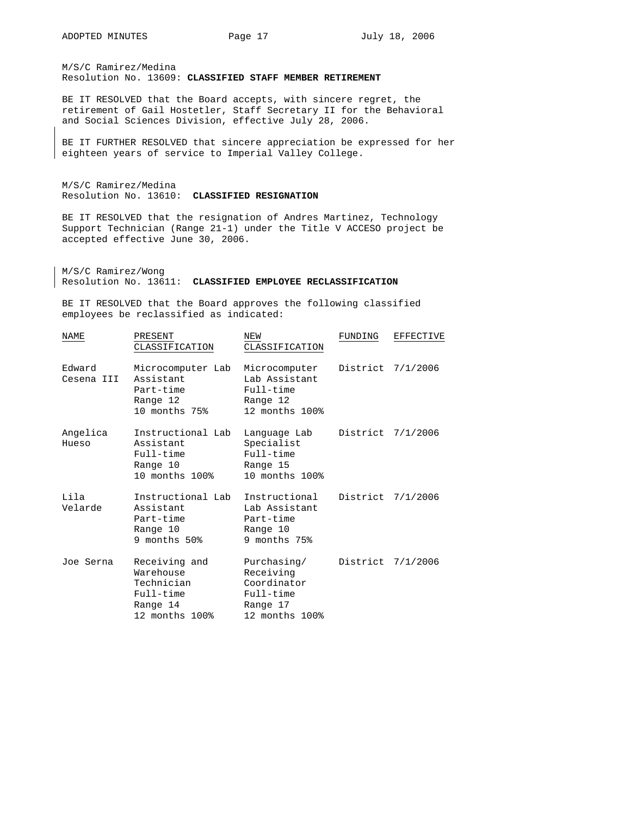M/S/C Ramirez/Medina Resolution No. 13609: **CLASSIFIED STAFF MEMBER RETIREMENT**

BE IT RESOLVED that the Board accepts, with sincere regret, the retirement of Gail Hostetler, Staff Secretary II for the Behavioral and Social Sciences Division, effective July 28, 2006.

BE IT FURTHER RESOLVED that sincere appreciation be expressed for her eighteen years of service to Imperial Valley College.

M/S/C Ramirez/Medina Resolution No. 13610: **CLASSIFIED RESIGNATION**

BE IT RESOLVED that the resignation of Andres Martinez, Technology Support Technician (Range 21-1) under the Title V ACCESO project be accepted effective June 30, 2006.

M/S/C Ramirez/Wong Resolution No. 13611: **CLASSIFIED EMPLOYEE RECLASSIFICATION**

BE IT RESOLVED that the Board approves the following classified employees be reclassified as indicated:

| NAME                 | PRESENT<br>CLASSIFICATION                                                           | NEW<br>CLASSIFICATION                                                              | FUNDING           | EFFECTIVE |
|----------------------|-------------------------------------------------------------------------------------|------------------------------------------------------------------------------------|-------------------|-----------|
| Edward<br>Cesena III | Microcomputer Lab<br>Assistant<br>Part-time<br>Range 12<br>10 months 75%            | Microcomputer<br>Lab Assistant<br>Full-time<br>Range 12<br>12 months 100%          | District 7/1/2006 |           |
| Angelica<br>Hueso    | Instructional Lab<br>Assistant<br>Full-time<br>Range 10<br>10 months 100%           | Lanquaqe Lab<br>Specialist<br>Full-time<br>Range 15<br>10 months 100%              | District 7/1/2006 |           |
| Lila<br>Velarde      | Instructional Lab<br>Assistant<br>Part-time<br>Range 10<br>9 months 50%             | Instructional<br>Lab Assistant<br>Part-time<br>Range 10<br>9 months 75%            | District 7/1/2006 |           |
| Joe Serna            | Receiving and<br>Warehouse<br>Technician<br>Full-time<br>Range 14<br>12 months 100% | Purchasing/<br>Receiving<br>Coordinator<br>Full-time<br>Range 17<br>12 months 100% | District 7/1/2006 |           |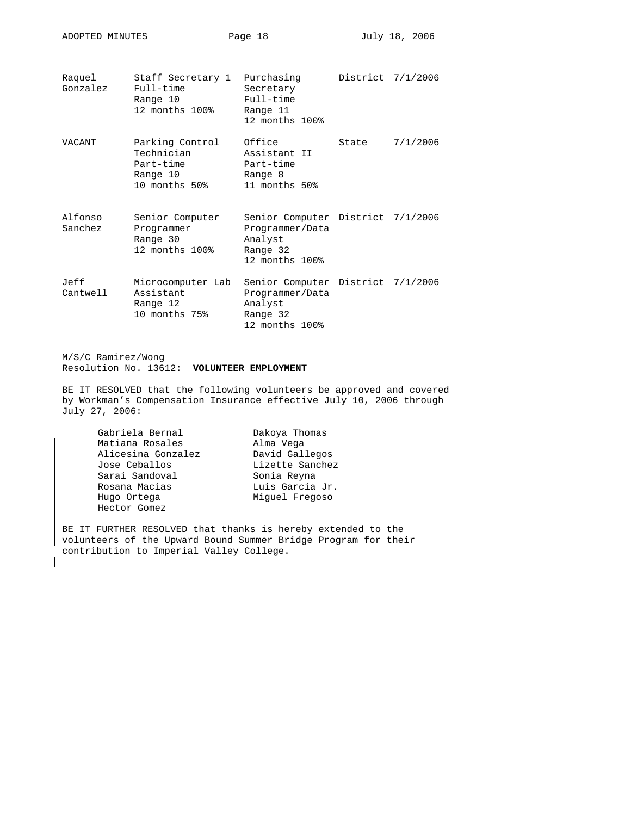| Raquel<br>Gonzalez | Staff Secretary 1 Purchasing<br>Full-time<br>Range 10<br>12 months 100% | Secretary<br>Full-time<br>Range 11<br>12 months 100%                                          | District 7/1/2006 |          |
|--------------------|-------------------------------------------------------------------------|-----------------------------------------------------------------------------------------------|-------------------|----------|
| VACANT             | Parking Control<br>Technician<br>Part-time<br>Range 10<br>10 months 50% | Office<br>Assistant II<br>Part-time<br>Range 8<br>11 months 50%                               | State             | 7/1/2006 |
| Alfonso<br>Sanchez | Senior Computer<br>Programmer<br>Range 30<br>12 months 100%             | Senior Computer District 7/1/2006<br>Programmer/Data<br>Analyst<br>Range 32<br>12 months 100% |                   |          |
| Jeff<br>Cantwell   | Microcomputer Lab<br>Assistant<br>Range 12<br>10 months 75%             | Senior Computer District 7/1/2006<br>Programmer/Data<br>Analyst<br>Range 32<br>12 months 100% |                   |          |

ADOPTED MINUTES Page 18 July 18, 2006

M/S/C Ramirez/Wong Resolution No. 13612: **VOLUNTEER EMPLOYMENT**

BE IT RESOLVED that the following volunteers be approved and covered by Workman's Compensation Insurance effective July 10, 2006 through July 27, 2006:

| Gabriela Bernal    | Dakoya Thomas   |
|--------------------|-----------------|
| Matiana Rosales    | Alma Vega       |
| Alicesina Gonzalez | David Gallegos  |
| Jose Ceballos      | Lizette Sanchez |
| Sarai Sandoval     | Sonia Reyna     |
| Rosana Macias      | Luis Garcia Jr. |
| Hugo Ortega        | Miquel Freqoso  |
| Hector Gomez       |                 |

BE IT FURTHER RESOLVED that thanks is hereby extended to the volunteers of the Upward Bound Summer Bridge Program for their contribution to Imperial Valley College.